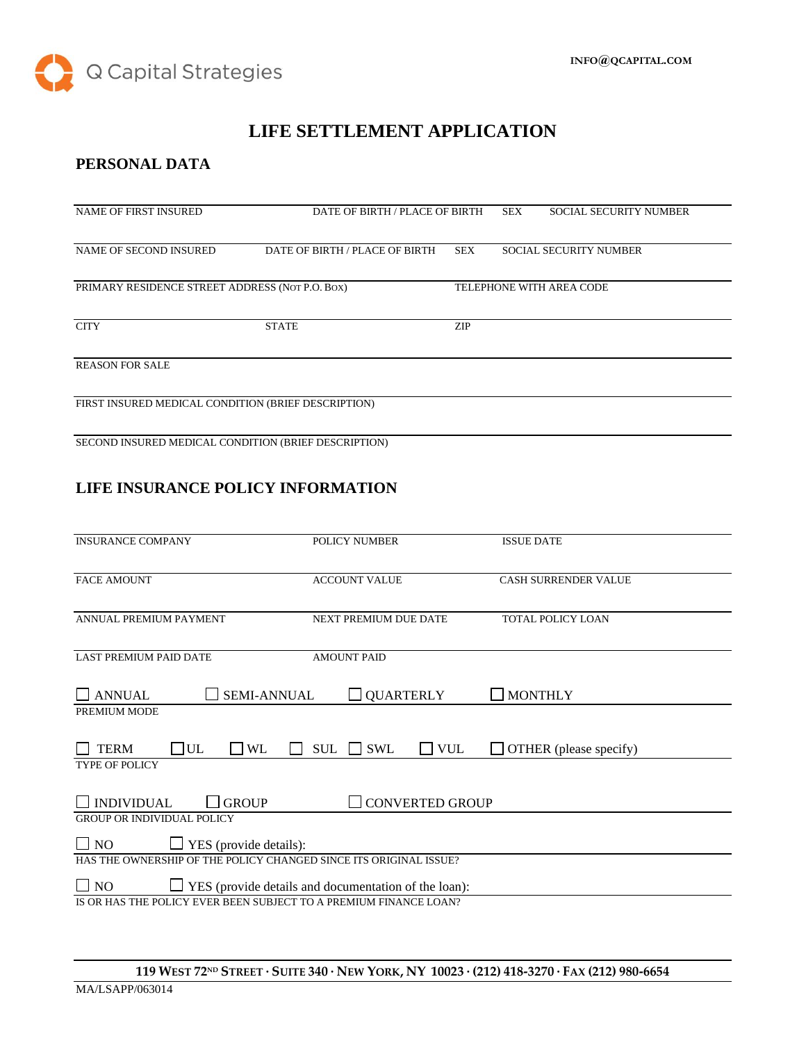

# **LIFE SETTLEMENT APPLICATION**

## **PERSONAL DATA**

| <b>NAME OF FIRST INSURED</b>                        |                                | DATE OF BIRTH / PLACE OF BIRTH |  | <b>SOCIAL SECURITY NUMBER</b> |
|-----------------------------------------------------|--------------------------------|--------------------------------|--|-------------------------------|
| NAME OF SECOND INSURED                              | DATE OF BIRTH / PLACE OF BIRTH | <b>SEX</b>                     |  | <b>SOCIAL SECURITY NUMBER</b> |
| PRIMARY RESIDENCE STREET ADDRESS (NOT P.O. BOX)     |                                |                                |  | TELEPHONE WITH AREA CODE      |
| <b>CITY</b>                                         | <b>STATE</b>                   | ZIP                            |  |                               |
| <b>REASON FOR SALE</b>                              |                                |                                |  |                               |
| FIRST INSURED MEDICAL CONDITION (BRIEF DESCRIPTION) |                                |                                |  |                               |

SECOND INSURED MEDICAL CONDITION (BRIEF DESCRIPTION)

## **LIFE INSURANCE POLICY INFORMATION**

| <b>INSURANCE COMPANY</b>                                                                                 | <b>POLICY NUMBER</b>                           | <b>ISSUE DATE</b>             |  |  |  |
|----------------------------------------------------------------------------------------------------------|------------------------------------------------|-------------------------------|--|--|--|
| <b>FACE AMOUNT</b>                                                                                       | <b>ACCOUNT VALUE</b>                           | <b>CASH SURRENDER VALUE</b>   |  |  |  |
| ANNUAL PREMIUM PAYMENT                                                                                   | NEXT PREMIUM DUE DATE                          | <b>TOTAL POLICY LOAN</b>      |  |  |  |
| <b>LAST PREMIUM PAID DATE</b>                                                                            | <b>AMOUNT PAID</b>                             |                               |  |  |  |
| <b>SEMI-ANNUAL</b><br><b>ANNUAL</b><br>PREMIUM MODE                                                      | <b>QUARTERLY</b>                               | <b>MONTHLY</b>                |  |  |  |
| $\Box$ UL<br><b>TERM</b><br>WL<br><b>TYPE OF POLICY</b>                                                  | $\blacksquare$ SWL<br><b>SUL</b><br>$\Box$ VUL | $\Box$ OTHER (please specify) |  |  |  |
| <b>INDIVIDUAL</b><br><b>GROUP</b><br><b>GROUP OR INDIVIDUAL POLICY</b>                                   | <b>CONVERTED GROUP</b>                         |                               |  |  |  |
| $\Box$ NO<br>YES (provide details):<br>HAS THE OWNERSHIP OF THE POLICY CHANGED SINCE ITS ORIGINAL ISSUE? |                                                |                               |  |  |  |
| $\Box$ NO<br>$\Box$ YES (provide details and documentation of the loan):                                 |                                                |                               |  |  |  |
| IS OR HAS THE POLICY EVER BEEN SUBJECT TO A PREMIUM FINANCE LOAN?                                        |                                                |                               |  |  |  |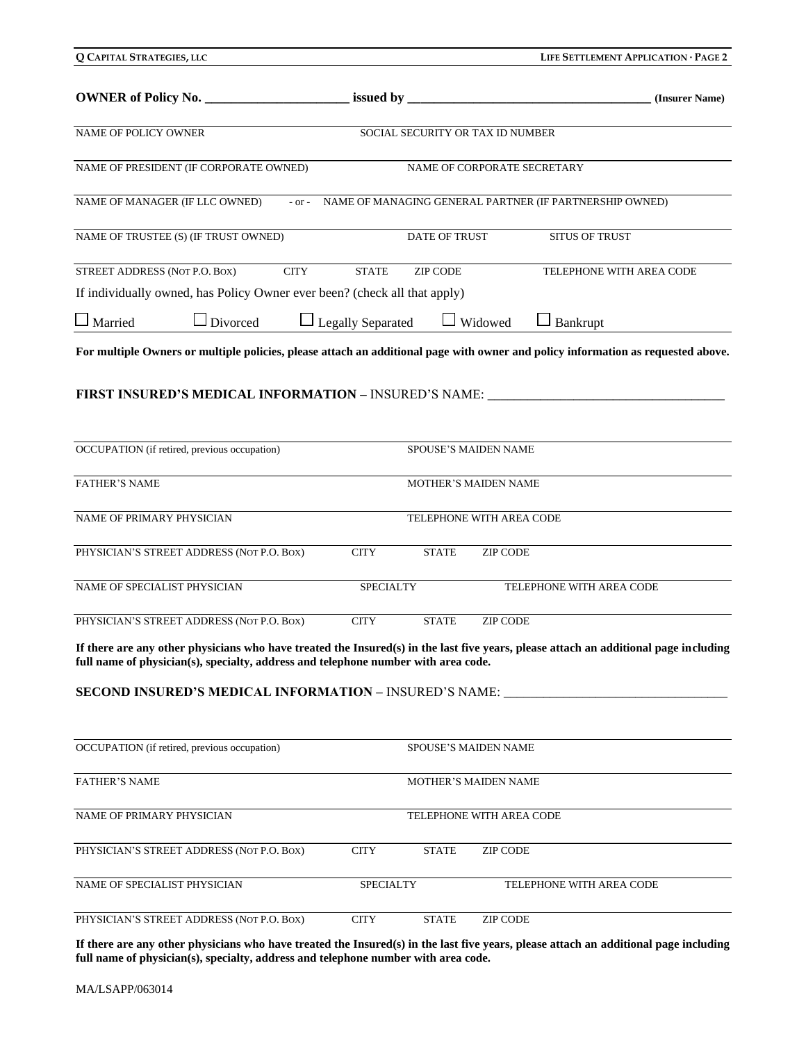| Q CAPITAL STRATEGIES, LLC                                                                                                        |                   |                                  |                 | LIFE SETTLEMENT APPLICATION · PAGE 2                           |                |
|----------------------------------------------------------------------------------------------------------------------------------|-------------------|----------------------------------|-----------------|----------------------------------------------------------------|----------------|
| OWNER of Policy No.                                                                                                              |                   |                                  |                 |                                                                | (Insurer Name) |
| NAME OF POLICY OWNER                                                                                                             |                   | SOCIAL SECURITY OR TAX ID NUMBER |                 |                                                                |                |
| NAME OF PRESIDENT (IF CORPORATE OWNED)                                                                                           |                   | NAME OF CORPORATE SECRETARY      |                 |                                                                |                |
| NAME OF MANAGER (IF LLC OWNED)                                                                                                   |                   |                                  |                 | - or - NAME OF MANAGING GENERAL PARTNER (IF PARTNERSHIP OWNED) |                |
| NAME OF TRUSTEE (S) (IF TRUST OWNED)                                                                                             |                   | <b>DATE OF TRUST</b>             |                 | <b>SITUS OF TRUST</b>                                          |                |
| STREET ADDRESS (NOT P.O. BOX)<br><b>CITY</b>                                                                                     | <b>STATE</b>      | <b>ZIP CODE</b>                  |                 | TELEPHONE WITH AREA CODE                                       |                |
| If individually owned, has Policy Owner ever been? (check all that apply)                                                        |                   |                                  |                 |                                                                |                |
| J Married<br>Divorced                                                                                                            | Legally Separated |                                  | Widowed         | Bankrupt                                                       |                |
| For multiple Owners or multiple policies, please attach an additional page with owner and policy information as requested above. |                   |                                  |                 |                                                                |                |
| FIRST INSURED'S MEDICAL INFORMATION - INSURED'S NAME: __________________________                                                 |                   |                                  |                 |                                                                |                |
| OCCUPATION (if retired, previous occupation)                                                                                     |                   | SPOUSE'S MAIDEN NAME             |                 |                                                                |                |
| <b>FATHER'S NAME</b>                                                                                                             |                   | <b>MOTHER'S MAIDEN NAME</b>      |                 |                                                                |                |
| NAME OF PRIMARY PHYSICIAN                                                                                                        |                   | TELEPHONE WITH AREA CODE         |                 |                                                                |                |
| PHYSICIAN'S STREET ADDRESS (NOT P.O. BOX)                                                                                        | <b>CITY</b>       | <b>STATE</b>                     | <b>ZIP CODE</b> |                                                                |                |
| NAME OF SPECIALIST PHYSICIAN                                                                                                     | <b>SPECIALTY</b>  |                                  |                 | TELEPHONE WITH AREA CODE                                       |                |
| PHYSICIAN'S STREET ADDRESS (NOT P.O. BOX)                                                                                        | <b>CITY</b>       | <b>STATE</b>                     | <b>ZIP CODE</b> |                                                                |                |

**If there are any other physicians who have treated the Insured(s) in the last five years, please attach an additional page including full name of physician(s), specialty, address and telephone number with area code.**

## **SECOND INSURED'S MEDICAL INFORMATION –** INSURED'S NAME: \_\_\_\_\_\_\_\_\_\_\_\_\_\_\_\_\_\_\_\_\_\_\_\_\_\_\_\_\_\_

| OCCUPATION (if retired, previous occupation) |                  |              | <b>SPOUSE'S MAIDEN NAME</b> |  |  |
|----------------------------------------------|------------------|--------------|-----------------------------|--|--|
| <b>FATHER'S NAME</b>                         |                  |              | <b>MOTHER'S MAIDEN NAME</b> |  |  |
| NAME OF PRIMARY PHYSICIAN                    |                  |              | TELEPHONE WITH AREA CODE    |  |  |
| PHYSICIAN'S STREET ADDRESS (NOT P.O. BOX)    | <b>CITY</b>      | <b>STATE</b> | <b>ZIP CODE</b>             |  |  |
| NAME OF SPECIALIST PHYSICIAN                 | <b>SPECIALTY</b> |              | TELEPHONE WITH AREA CODE    |  |  |
| PHYSICIAN'S STREET ADDRESS (NOT P.O. BOX)    | <b>CITY</b>      | <b>STATE</b> | <b>ZIP CODE</b>             |  |  |

**If there are any other physicians who have treated the Insured(s) in the last five years, please attach an additional page including full name of physician(s), specialty, address and telephone number with area code.**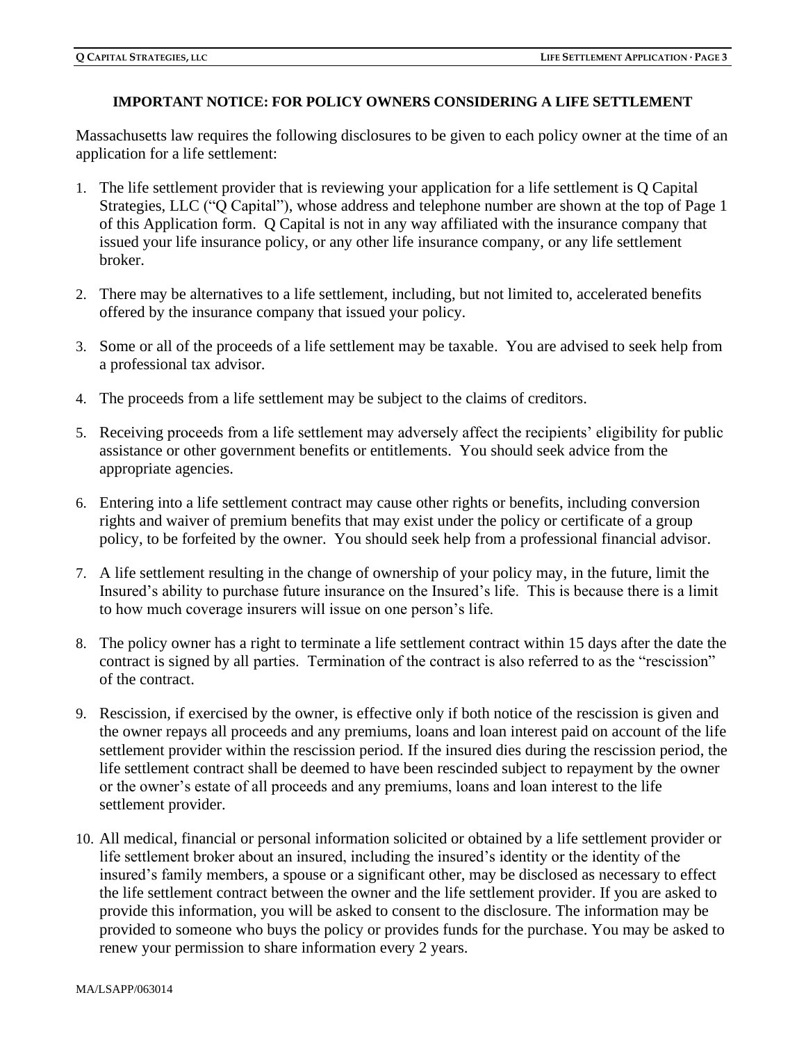## **IMPORTANT NOTICE: FOR POLICY OWNERS CONSIDERING A LIFE SETTLEMENT**

Massachusetts law requires the following disclosures to be given to each policy owner at the time of an application for a life settlement:

- 1. The life settlement provider that is reviewing your application for a life settlement is Q Capital Strategies, LLC ("Q Capital"), whose address and telephone number are shown at the top of Page 1 of this Application form. Q Capital is not in any way affiliated with the insurance company that issued your life insurance policy, or any other life insurance company, or any life settlement broker.
- 2. There may be alternatives to a life settlement, including, but not limited to, accelerated benefits offered by the insurance company that issued your policy.
- 3. Some or all of the proceeds of a life settlement may be taxable. You are advised to seek help from a professional tax advisor.
- 4. The proceeds from a life settlement may be subject to the claims of creditors.
- 5. Receiving proceeds from a life settlement may adversely affect the recipients' eligibility for public assistance or other government benefits or entitlements. You should seek advice from the appropriate agencies.
- 6. Entering into a life settlement contract may cause other rights or benefits, including conversion rights and waiver of premium benefits that may exist under the policy or certificate of a group policy, to be forfeited by the owner. You should seek help from a professional financial advisor.
- 7. A life settlement resulting in the change of ownership of your policy may, in the future, limit the Insured's ability to purchase future insurance on the Insured's life. This is because there is a limit to how much coverage insurers will issue on one person's life.
- 8. The policy owner has a right to terminate a life settlement contract within 15 days after the date the contract is signed by all parties. Termination of the contract is also referred to as the "rescission" of the contract.
- 9. Rescission, if exercised by the owner, is effective only if both notice of the rescission is given and the owner repays all proceeds and any premiums, loans and loan interest paid on account of the life settlement provider within the rescission period. If the insured dies during the rescission period, the life settlement contract shall be deemed to have been rescinded subject to repayment by the owner or the owner's estate of all proceeds and any premiums, loans and loan interest to the life settlement provider.
- 10. All medical, financial or personal information solicited or obtained by a life settlement provider or life settlement broker about an insured, including the insured's identity or the identity of the insured's family members, a spouse or a significant other, may be disclosed as necessary to effect the life settlement contract between the owner and the life settlement provider. If you are asked to provide this information, you will be asked to consent to the disclosure. The information may be provided to someone who buys the policy or provides funds for the purchase. You may be asked to renew your permission to share information every 2 years.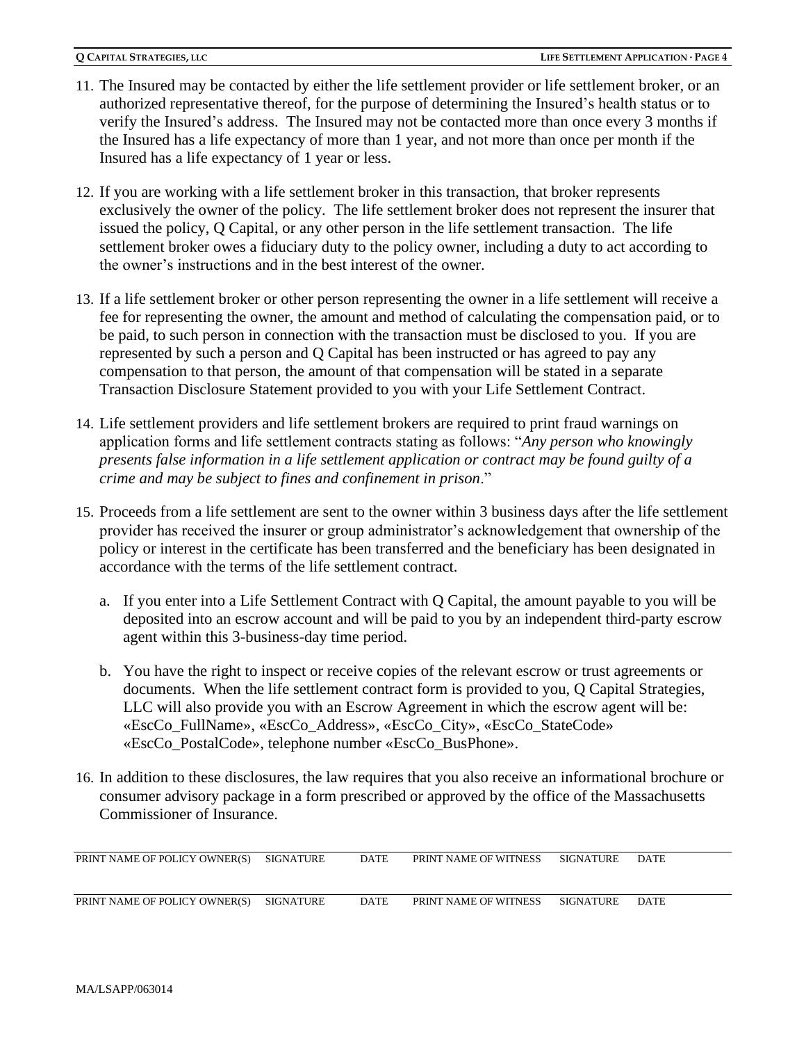- 11. The Insured may be contacted by either the life settlement provider or life settlement broker, or an authorized representative thereof, for the purpose of determining the Insured's health status or to verify the Insured's address. The Insured may not be contacted more than once every 3 months if the Insured has a life expectancy of more than 1 year, and not more than once per month if the Insured has a life expectancy of 1 year or less.
- 12. If you are working with a life settlement broker in this transaction, that broker represents exclusively the owner of the policy. The life settlement broker does not represent the insurer that issued the policy, Q Capital, or any other person in the life settlement transaction. The life settlement broker owes a fiduciary duty to the policy owner, including a duty to act according to the owner's instructions and in the best interest of the owner.
- 13. If a life settlement broker or other person representing the owner in a life settlement will receive a fee for representing the owner, the amount and method of calculating the compensation paid, or to be paid, to such person in connection with the transaction must be disclosed to you. If you are represented by such a person and Q Capital has been instructed or has agreed to pay any compensation to that person, the amount of that compensation will be stated in a separate Transaction Disclosure Statement provided to you with your Life Settlement Contract.
- 14. Life settlement providers and life settlement brokers are required to print fraud warnings on application forms and life settlement contracts stating as follows: "*Any person who knowingly presents false information in a life settlement application or contract may be found guilty of a crime and may be subject to fines and confinement in prison*."
- 15. Proceeds from a life settlement are sent to the owner within 3 business days after the life settlement provider has received the insurer or group administrator's acknowledgement that ownership of the policy or interest in the certificate has been transferred and the beneficiary has been designated in accordance with the terms of the life settlement contract.
	- a. If you enter into a Life Settlement Contract with Q Capital, the amount payable to you will be deposited into an escrow account and will be paid to you by an independent third-party escrow agent within this 3-business-day time period.
	- b. You have the right to inspect or receive copies of the relevant escrow or trust agreements or documents. When the life settlement contract form is provided to you, Q Capital Strategies, LLC will also provide you with an Escrow Agreement in which the escrow agent will be: «EscCo\_FullName», «EscCo\_Address», «EscCo\_City», «EscCo\_StateCode» «EscCo\_PostalCode», telephone number «EscCo\_BusPhone».
- 16. In addition to these disclosures, the law requires that you also receive an informational brochure or consumer advisory package in a form prescribed or approved by the office of the Massachusetts Commissioner of Insurance.

| PRINT NAME OF POLICY OWNER(S) | SIGNATURE | <b>DATE</b> | PRINT NAME OF WITNESS | <b>SIGNATURE</b> | DATE |
|-------------------------------|-----------|-------------|-----------------------|------------------|------|
| PRINT NAME OF POLICY OWNER(S) | SIGNATURE | <b>DATE</b> | PRINT NAME OF WITNESS | <b>SIGNATURE</b> | DATE |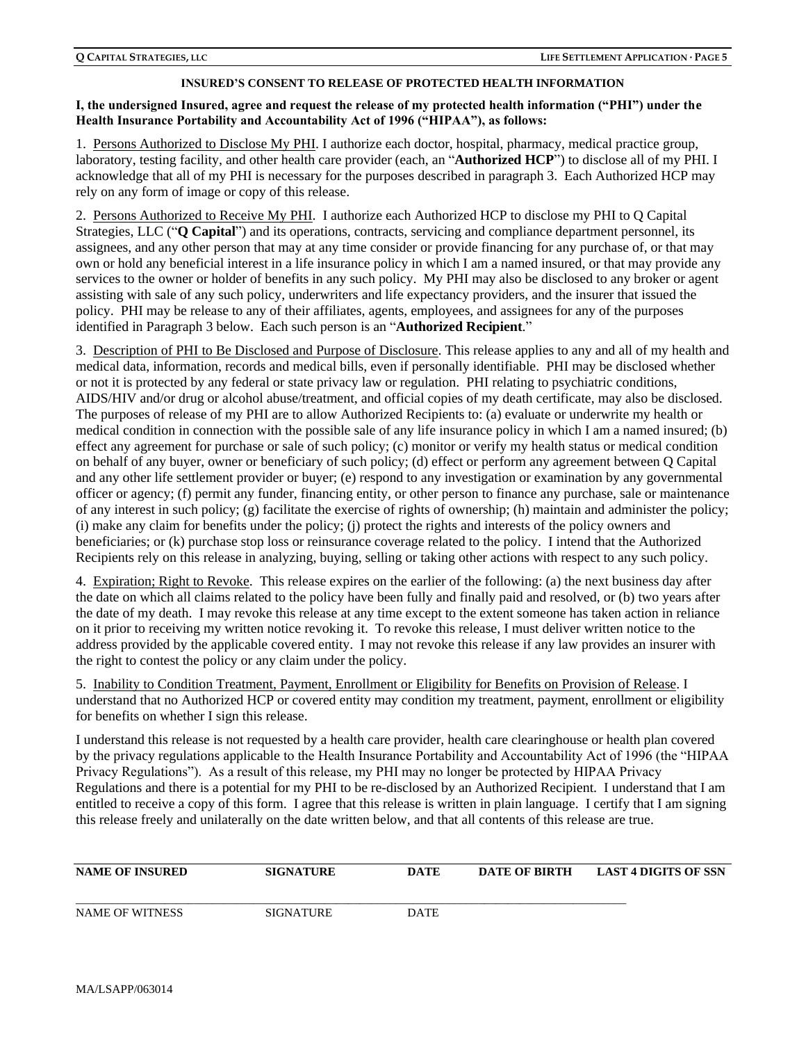#### **INSURED'S CONSENT TO RELEASE OF PROTECTED HEALTH INFORMATION**

### **I, the undersigned Insured, agree and request the release of my protected health information ("PHI") under the Health Insurance Portability and Accountability Act of 1996 ("HIPAA"), as follows:**

1. Persons Authorized to Disclose My PHI. I authorize each doctor, hospital, pharmacy, medical practice group, laboratory, testing facility, and other health care provider (each, an "**Authorized HCP**") to disclose all of my PHI. I acknowledge that all of my PHI is necessary for the purposes described in paragraph 3. Each Authorized HCP may rely on any form of image or copy of this release.

2. Persons Authorized to Receive My PHI. I authorize each Authorized HCP to disclose my PHI to Q Capital Strategies, LLC ("**Q Capital**") and its operations, contracts, servicing and compliance department personnel, its assignees, and any other person that may at any time consider or provide financing for any purchase of, or that may own or hold any beneficial interest in a life insurance policy in which I am a named insured, or that may provide any services to the owner or holder of benefits in any such policy. My PHI may also be disclosed to any broker or agent assisting with sale of any such policy, underwriters and life expectancy providers, and the insurer that issued the policy. PHI may be release to any of their affiliates, agents, employees, and assignees for any of the purposes identified in Paragraph 3 below. Each such person is an "**Authorized Recipient**."

3. Description of PHI to Be Disclosed and Purpose of Disclosure. This release applies to any and all of my health and medical data, information, records and medical bills, even if personally identifiable. PHI may be disclosed whether or not it is protected by any federal or state privacy law or regulation. PHI relating to psychiatric conditions, AIDS/HIV and/or drug or alcohol abuse/treatment, and official copies of my death certificate, may also be disclosed. The purposes of release of my PHI are to allow Authorized Recipients to: (a) evaluate or underwrite my health or medical condition in connection with the possible sale of any life insurance policy in which I am a named insured; (b) effect any agreement for purchase or sale of such policy; (c) monitor or verify my health status or medical condition on behalf of any buyer, owner or beneficiary of such policy; (d) effect or perform any agreement between Q Capital and any other life settlement provider or buyer; (e) respond to any investigation or examination by any governmental officer or agency; (f) permit any funder, financing entity, or other person to finance any purchase, sale or maintenance of any interest in such policy; (g) facilitate the exercise of rights of ownership; (h) maintain and administer the policy; (i) make any claim for benefits under the policy; (j) protect the rights and interests of the policy owners and beneficiaries; or (k) purchase stop loss or reinsurance coverage related to the policy. I intend that the Authorized Recipients rely on this release in analyzing, buying, selling or taking other actions with respect to any such policy.

4. Expiration; Right to Revoke. This release expires on the earlier of the following: (a) the next business day after the date on which all claims related to the policy have been fully and finally paid and resolved, or (b) two years after the date of my death. I may revoke this release at any time except to the extent someone has taken action in reliance on it prior to receiving my written notice revoking it. To revoke this release, I must deliver written notice to the address provided by the applicable covered entity. I may not revoke this release if any law provides an insurer with the right to contest the policy or any claim under the policy.

5. Inability to Condition Treatment, Payment, Enrollment or Eligibility for Benefits on Provision of Release. I understand that no Authorized HCP or covered entity may condition my treatment, payment, enrollment or eligibility for benefits on whether I sign this release.

I understand this release is not requested by a health care provider, health care clearinghouse or health plan covered by the privacy regulations applicable to the Health Insurance Portability and Accountability Act of 1996 (the "HIPAA Privacy Regulations"). As a result of this release, my PHI may no longer be protected by HIPAA Privacy Regulations and there is a potential for my PHI to be re-disclosed by an Authorized Recipient. I understand that I am entitled to receive a copy of this form. I agree that this release is written in plain language. I certify that I am signing this release freely and unilaterally on the date written below, and that all contents of this release are true.

| <b>NAME OF INSURED</b> | <b>SIGNATURE</b> | DATE        | DATE OF BIRTH | <b>LAST 4 DIGITS OF SSN</b> |
|------------------------|------------------|-------------|---------------|-----------------------------|
| <b>NAME OF WITNESS</b> | <b>SIGNATURE</b> | <b>DATE</b> |               |                             |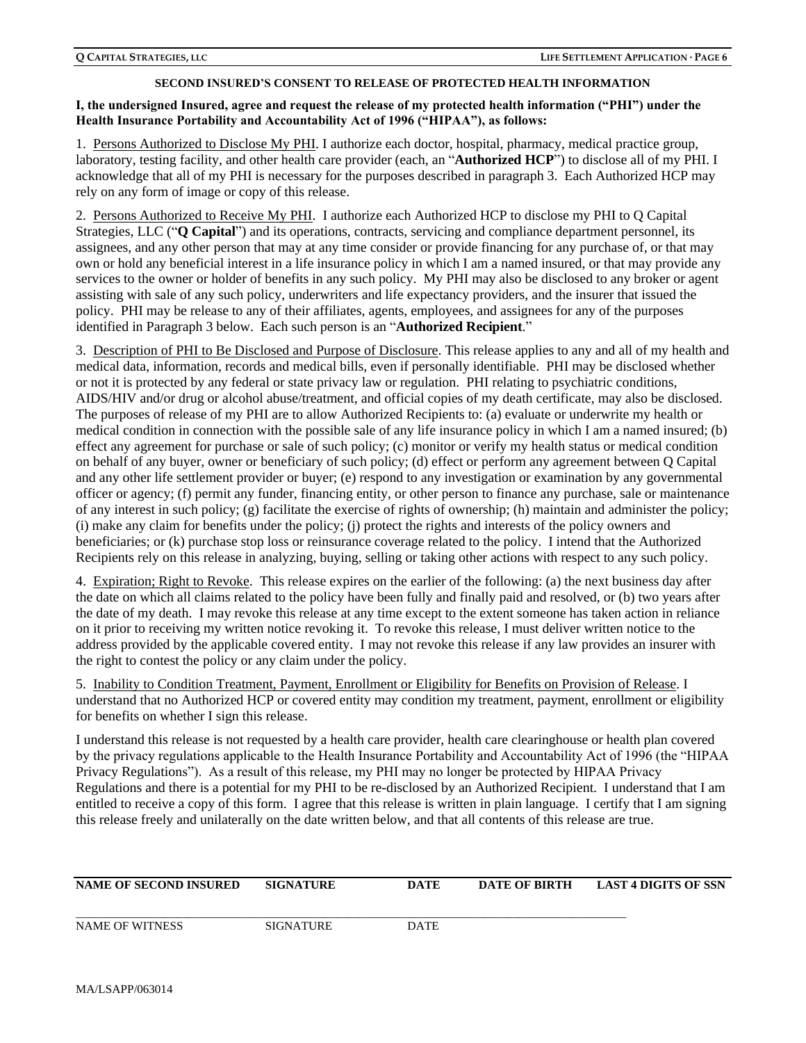#### **SECOND INSURED'S CONSENT TO RELEASE OF PROTECTED HEALTH INFORMATION**

### **I, the undersigned Insured, agree and request the release of my protected health information ("PHI") under the Health Insurance Portability and Accountability Act of 1996 ("HIPAA"), as follows:**

1. Persons Authorized to Disclose My PHI. I authorize each doctor, hospital, pharmacy, medical practice group, laboratory, testing facility, and other health care provider (each, an "**Authorized HCP**") to disclose all of my PHI. I acknowledge that all of my PHI is necessary for the purposes described in paragraph 3. Each Authorized HCP may rely on any form of image or copy of this release.

2. Persons Authorized to Receive My PHI. I authorize each Authorized HCP to disclose my PHI to Q Capital Strategies, LLC ("**Q Capital**") and its operations, contracts, servicing and compliance department personnel, its assignees, and any other person that may at any time consider or provide financing for any purchase of, or that may own or hold any beneficial interest in a life insurance policy in which I am a named insured, or that may provide any services to the owner or holder of benefits in any such policy. My PHI may also be disclosed to any broker or agent assisting with sale of any such policy, underwriters and life expectancy providers, and the insurer that issued the policy. PHI may be release to any of their affiliates, agents, employees, and assignees for any of the purposes identified in Paragraph 3 below. Each such person is an "**Authorized Recipient**."

3. Description of PHI to Be Disclosed and Purpose of Disclosure. This release applies to any and all of my health and medical data, information, records and medical bills, even if personally identifiable. PHI may be disclosed whether or not it is protected by any federal or state privacy law or regulation. PHI relating to psychiatric conditions, AIDS/HIV and/or drug or alcohol abuse/treatment, and official copies of my death certificate, may also be disclosed. The purposes of release of my PHI are to allow Authorized Recipients to: (a) evaluate or underwrite my health or medical condition in connection with the possible sale of any life insurance policy in which I am a named insured; (b) effect any agreement for purchase or sale of such policy; (c) monitor or verify my health status or medical condition on behalf of any buyer, owner or beneficiary of such policy; (d) effect or perform any agreement between Q Capital and any other life settlement provider or buyer; (e) respond to any investigation or examination by any governmental officer or agency; (f) permit any funder, financing entity, or other person to finance any purchase, sale or maintenance of any interest in such policy; (g) facilitate the exercise of rights of ownership; (h) maintain and administer the policy; (i) make any claim for benefits under the policy; (j) protect the rights and interests of the policy owners and beneficiaries; or (k) purchase stop loss or reinsurance coverage related to the policy. I intend that the Authorized Recipients rely on this release in analyzing, buying, selling or taking other actions with respect to any such policy.

4. Expiration; Right to Revoke. This release expires on the earlier of the following: (a) the next business day after the date on which all claims related to the policy have been fully and finally paid and resolved, or (b) two years after the date of my death. I may revoke this release at any time except to the extent someone has taken action in reliance on it prior to receiving my written notice revoking it. To revoke this release, I must deliver written notice to the address provided by the applicable covered entity. I may not revoke this release if any law provides an insurer with the right to contest the policy or any claim under the policy.

5. Inability to Condition Treatment, Payment, Enrollment or Eligibility for Benefits on Provision of Release. I understand that no Authorized HCP or covered entity may condition my treatment, payment, enrollment or eligibility for benefits on whether I sign this release.

I understand this release is not requested by a health care provider, health care clearinghouse or health plan covered by the privacy regulations applicable to the Health Insurance Portability and Accountability Act of 1996 (the "HIPAA Privacy Regulations"). As a result of this release, my PHI may no longer be protected by HIPAA Privacy Regulations and there is a potential for my PHI to be re-disclosed by an Authorized Recipient. I understand that I am entitled to receive a copy of this form. I agree that this release is written in plain language. I certify that I am signing this release freely and unilaterally on the date written below, and that all contents of this release are true.

| <b>NAME OF SECOND INSURED</b> | <b>SIGNATURE</b> | DATE        | <b>DATE OF BIRTH</b> | <b>LAST 4 DIGITS OF SSN</b> |
|-------------------------------|------------------|-------------|----------------------|-----------------------------|
| NAME OF WITNESS               | <b>SIGNATURE</b> | <b>DATE</b> |                      |                             |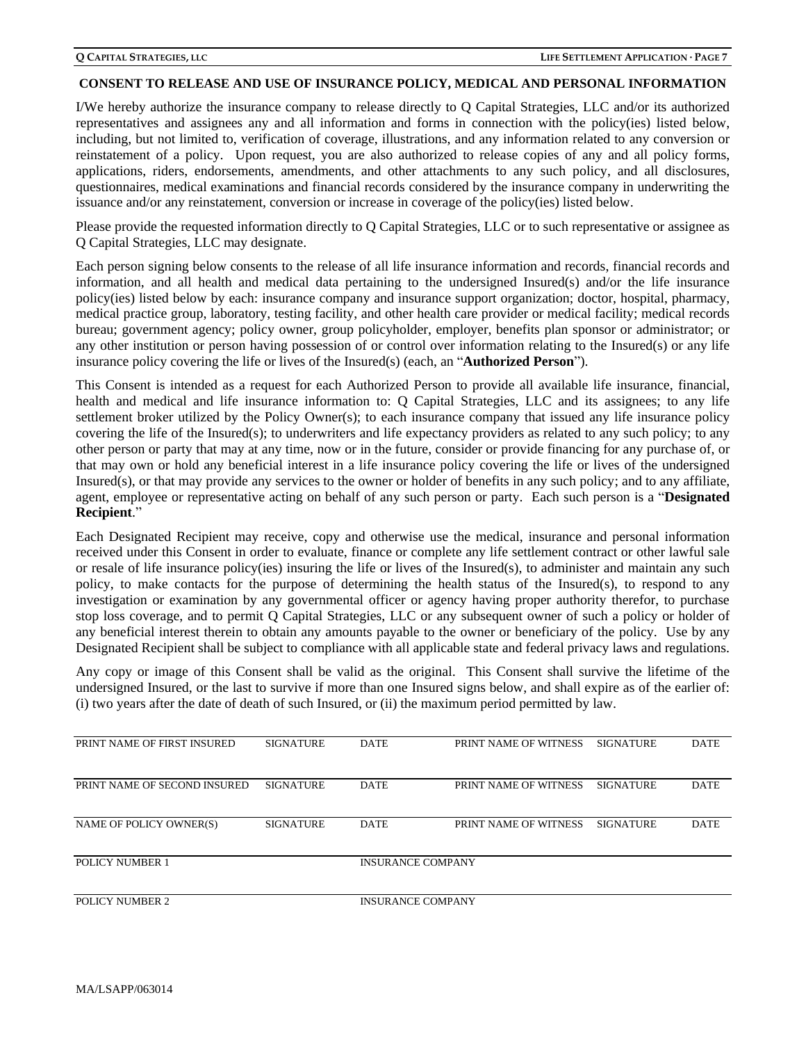#### **CONSENT TO RELEASE AND USE OF INSURANCE POLICY, MEDICAL AND PERSONAL INFORMATION**

I/We hereby authorize the insurance company to release directly to Q Capital Strategies, LLC and/or its authorized representatives and assignees any and all information and forms in connection with the policy(ies) listed below, including, but not limited to, verification of coverage, illustrations, and any information related to any conversion or reinstatement of a policy. Upon request, you are also authorized to release copies of any and all policy forms, applications, riders, endorsements, amendments, and other attachments to any such policy, and all disclosures, questionnaires, medical examinations and financial records considered by the insurance company in underwriting the issuance and/or any reinstatement, conversion or increase in coverage of the policy(ies) listed below.

Please provide the requested information directly to Q Capital Strategies, LLC or to such representative or assignee as Q Capital Strategies, LLC may designate.

Each person signing below consents to the release of all life insurance information and records, financial records and information, and all health and medical data pertaining to the undersigned Insured(s) and/or the life insurance policy(ies) listed below by each: insurance company and insurance support organization; doctor, hospital, pharmacy, medical practice group, laboratory, testing facility, and other health care provider or medical facility; medical records bureau; government agency; policy owner, group policyholder, employer, benefits plan sponsor or administrator; or any other institution or person having possession of or control over information relating to the Insured(s) or any life insurance policy covering the life or lives of the Insured(s) (each, an "**Authorized Person**").

This Consent is intended as a request for each Authorized Person to provide all available life insurance, financial, health and medical and life insurance information to: Q Capital Strategies, LLC and its assignees; to any life settlement broker utilized by the Policy Owner(s); to each insurance company that issued any life insurance policy covering the life of the Insured(s); to underwriters and life expectancy providers as related to any such policy; to any other person or party that may at any time, now or in the future, consider or provide financing for any purchase of, or that may own or hold any beneficial interest in a life insurance policy covering the life or lives of the undersigned Insured(s), or that may provide any services to the owner or holder of benefits in any such policy; and to any affiliate, agent, employee or representative acting on behalf of any such person or party. Each such person is a "**Designated Recipient**."

Each Designated Recipient may receive, copy and otherwise use the medical, insurance and personal information received under this Consent in order to evaluate, finance or complete any life settlement contract or other lawful sale or resale of life insurance policy(ies) insuring the life or lives of the Insured(s), to administer and maintain any such policy, to make contacts for the purpose of determining the health status of the Insured(s), to respond to any investigation or examination by any governmental officer or agency having proper authority therefor, to purchase stop loss coverage, and to permit Q Capital Strategies, LLC or any subsequent owner of such a policy or holder of any beneficial interest therein to obtain any amounts payable to the owner or beneficiary of the policy. Use by any Designated Recipient shall be subject to compliance with all applicable state and federal privacy laws and regulations.

Any copy or image of this Consent shall be valid as the original. This Consent shall survive the lifetime of the undersigned Insured, or the last to survive if more than one Insured signs below, and shall expire as of the earlier of: (i) two years after the date of death of such Insured, or (ii) the maximum period permitted by law.

| PRINT NAME OF FIRST INSURED  | <b>SIGNATURE</b> | <b>DATE</b>              | PRINT NAME OF WITNESS | <b>SIGNATURE</b> | <b>DATE</b> |
|------------------------------|------------------|--------------------------|-----------------------|------------------|-------------|
| PRINT NAME OF SECOND INSURED | <b>SIGNATURE</b> | <b>DATE</b>              | PRINT NAME OF WITNESS | <b>SIGNATURE</b> | <b>DATE</b> |
| NAME OF POLICY OWNER(S)      | <b>SIGNATURE</b> | <b>DATE</b>              | PRINT NAME OF WITNESS | <b>SIGNATURE</b> | <b>DATE</b> |
| POLICY NUMBER 1              |                  | <b>INSURANCE COMPANY</b> |                       |                  |             |
| POLICY NUMBER 2              |                  | <b>INSURANCE COMPANY</b> |                       |                  |             |